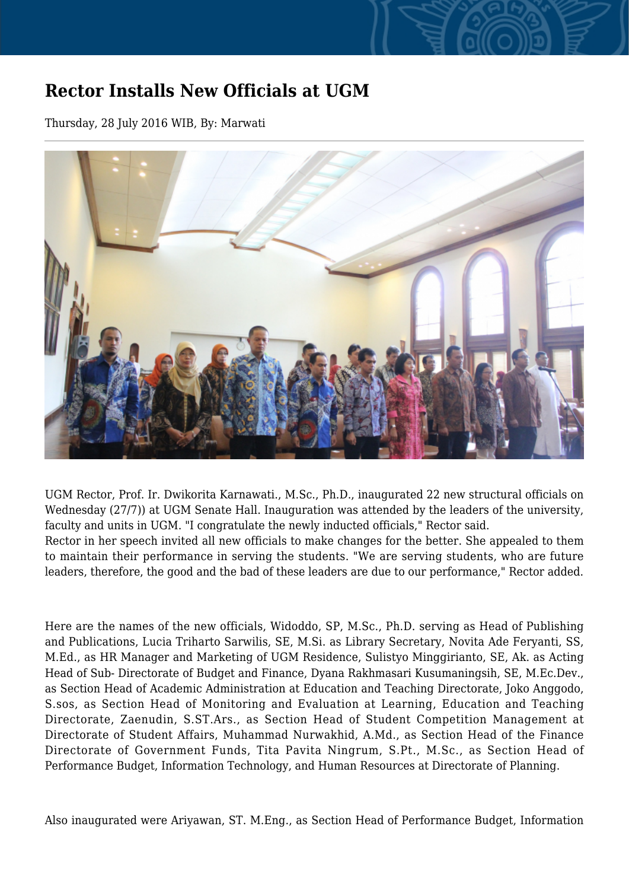## **Rector Installs New Officials at UGM**

Thursday, 28 July 2016 WIB, By: Marwati



UGM Rector, Prof. Ir. Dwikorita Karnawati., M.Sc., Ph.D., inaugurated 22 new structural officials on Wednesday (27/7)) at UGM Senate Hall. Inauguration was attended by the leaders of the university, faculty and units in UGM. "I congratulate the newly inducted officials," Rector said. Rector in her speech invited all new officials to make changes for the better. She appealed to them to maintain their performance in serving the students. "We are serving students, who are future leaders, therefore, the good and the bad of these leaders are due to our performance," Rector added.

Here are the names of the new officials, Widoddo, SP, M.Sc., Ph.D. serving as Head of Publishing and Publications, Lucia Triharto Sarwilis, SE, M.Si. as Library Secretary, Novita Ade Feryanti, SS, M.Ed., as HR Manager and Marketing of UGM Residence, Sulistyo Minggirianto, SE, Ak. as Acting Head of Sub- Directorate of Budget and Finance, Dyana Rakhmasari Kusumaningsih, SE, M.Ec.Dev., as Section Head of Academic Administration at Education and Teaching Directorate, Joko Anggodo, S.sos, as Section Head of Monitoring and Evaluation at Learning, Education and Teaching Directorate, Zaenudin, S.ST.Ars., as Section Head of Student Competition Management at Directorate of Student Affairs, Muhammad Nurwakhid, A.Md., as Section Head of the Finance Directorate of Government Funds, Tita Pavita Ningrum, S.Pt., M.Sc., as Section Head of Performance Budget, Information Technology, and Human Resources at Directorate of Planning.

Also inaugurated were Ariyawan, ST. M.Eng., as Section Head of Performance Budget, Information